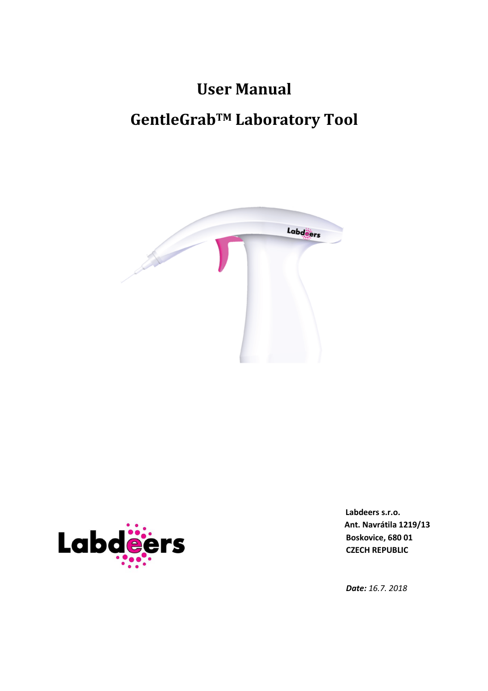# **User Manual**

## **GentleGrabTM Laboratory Tool**





 **Labdeers s.r.o. Ant. Navrátila 1219/13** 

*Date: 16.7. 2018*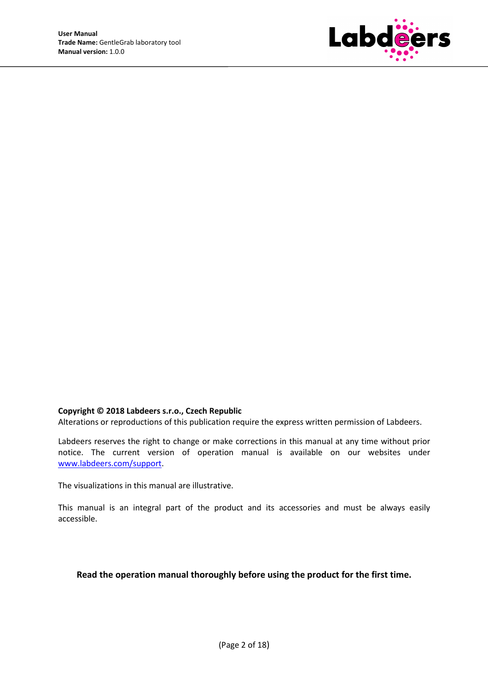

#### **Copyright © 2018 Labdeers s.r.o., Czech Republic**

Alterations or reproductions of this publication require the express written permission of Labdeers.

Labdeers reserves the right to change or make corrections in this manual at any time without prior notice. The current version of operation manual is available on our websites under www.labdeers.com/support.

The visualizations in this manual are illustrative.

This manual is an integral part of the product and its accessories and must be always easily accessible.

#### **Read the operation manual thoroughly before using the product for the first time.**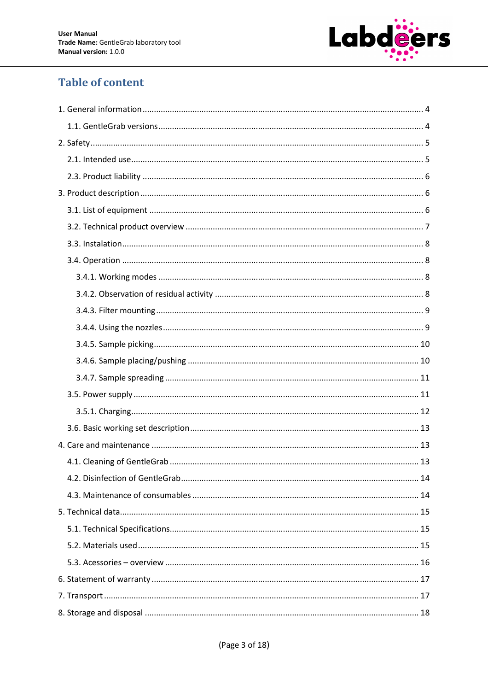

## **Table of content**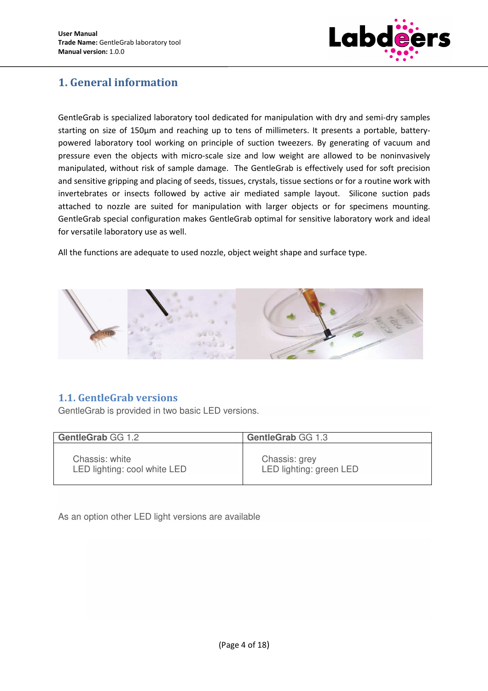

## **1. General information**

GentleGrab is specialized laboratory tool dedicated for manipulation with dry and semi-dry samples starting on size of 150µm and reaching up to tens of millimeters. It presents a portable, batterypowered laboratory tool working on principle of suction tweezers. By generating of vacuum and pressure even the objects with micro-scale size and low weight are allowed to be noninvasively manipulated, without risk of sample damage. The GentleGrab is effectively used for soft precision and sensitive gripping and placing of seeds, tissues, crystals, tissue sections or for a routine work with invertebrates or insects followed by active air mediated sample layout. Silicone suction pads attached to nozzle are suited for manipulation with larger objects or for specimens mounting. GentleGrab special configuration makes GentleGrab optimal for sensitive laboratory work and ideal for versatile laboratory use as well.

All the functions are adequate to used nozzle, object weight shape and surface type.



## **1.1. GentleGrab versions**

GentleGrab is provided in two basic LED versions.

| GentleGrab GG 1.2            | GentleGrab GG 1.3       |
|------------------------------|-------------------------|
| Chassis: white               | Chassis: grey           |
| LED lighting: cool white LED | LED lighting: green LED |

As an option other LED light versions are available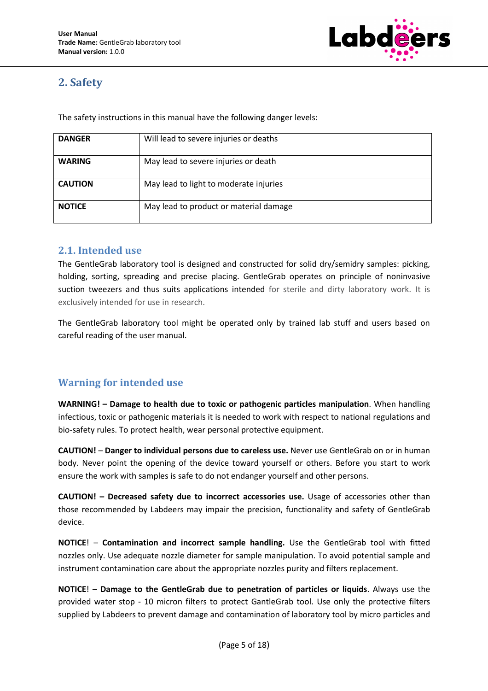

## **2. Safety**

The safety instructions in this manual have the following danger levels:

| <b>DANGER</b>  | Will lead to severe injuries or deaths |
|----------------|----------------------------------------|
| <b>WARING</b>  | May lead to severe injuries or death   |
| <b>CAUTION</b> | May lead to light to moderate injuries |
| <b>NOTICE</b>  | May lead to product or material damage |

#### **2.1. Intended use**

The GentleGrab laboratory tool is designed and constructed for solid dry/semidry samples: picking, holding, sorting, spreading and precise placing. GentleGrab operates on principle of noninvasive suction tweezers and thus suits applications intended for sterile and dirty laboratory work. It is exclusively intended for use in research.

The GentleGrab laboratory tool might be operated only by trained lab stuff and users based on careful reading of the user manual.

## **Warning for intended use**

**WARNING! – Damage to health due to toxic or pathogenic particles manipulation**. When handling infectious, toxic or pathogenic materials it is needed to work with respect to national regulations and bio-safety rules. To protect health, wear personal protective equipment.

**CAUTION!** – **Danger to individual persons due to careless use.** Never use GentleGrab on or in human body. Never point the opening of the device toward yourself or others. Before you start to work ensure the work with samples is safe to do not endanger yourself and other persons.

**CAUTION! – Decreased safety due to incorrect accessories use.** Usage of accessories other than those recommended by Labdeers may impair the precision, functionality and safety of GentleGrab device.

**NOTICE**! – **Contamination and incorrect sample handling.** Use the GentleGrab tool with fitted nozzles only. Use adequate nozzle diameter for sample manipulation. To avoid potential sample and instrument contamination care about the appropriate nozzles purity and filters replacement.

**NOTICE**! **– Damage to the GentleGrab due to penetration of particles or liquids**. Always use the provided water stop - 10 micron filters to protect GantleGrab tool. Use only the protective filters supplied by Labdeers to prevent damage and contamination of laboratory tool by micro particles and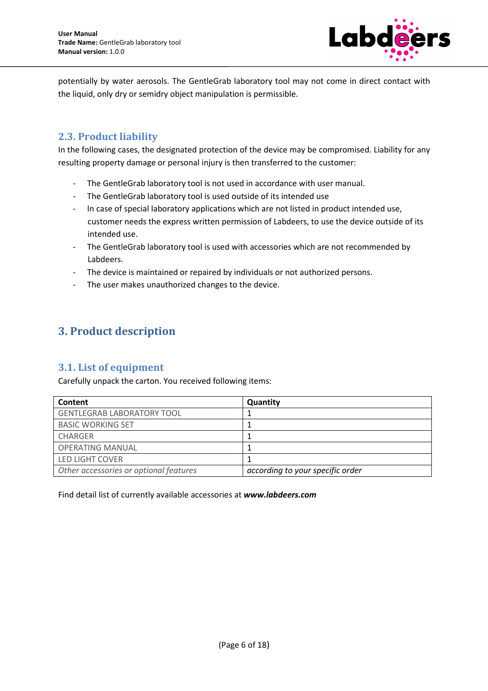

potentially by water aerosols. The GentleGrab laboratory tool may not come in direct contact with the liquid, only dry or semidry object manipulation is permissible.

## **2.3. Product liability**

In the following cases, the designated protection of the device may be compromised. Liability for any resulting property damage or personal injury is then transferred to the customer:

- The GentleGrab laboratory tool is not used in accordance with user manual.
- The GentleGrab laboratory tool is used outside of its intended use
- In case of special laboratory applications which are not listed in product intended use, customer needs the express written permission of Labdeers, to use the device outside of its intended use.
- The GentleGrab laboratory tool is used with accessories which are not recommended by Labdeers.
- The device is maintained or repaired by individuals or not authorized persons.
- The user makes unauthorized changes to the device.

## **3. Product description**

## **3.1. List of equipment**

Carefully unpack the carton. You received following items:

| Content                                | Quantity                         |
|----------------------------------------|----------------------------------|
| <b>GENTLEGRAB LABORATORY TOOL</b>      |                                  |
| <b>BASIC WORKING SET</b>               |                                  |
| <b>CHARGER</b>                         |                                  |
| <b>OPERATING MANUAL</b>                |                                  |
| LED LIGHT COVER                        |                                  |
| Other accessories or optional features | according to your specific order |

Find detail list of currently available accessories at *www.labdeers.com*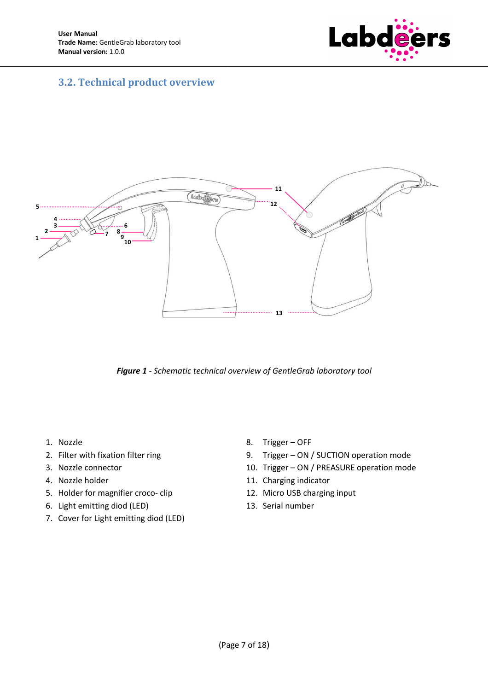

## **3.2. Technical product overview**



*Figure 1 - Schematic technical overview of GentleGrab laboratory tool* 

- 1. Nozzle
- 2. Filter with fixation filter ring
- 3. Nozzle connector
- 4. Nozzle holder
- 5. Holder for magnifier croco- clip
- 6. Light emitting diod (LED)
- 7. Cover for Light emitting diod (LED)
- 8. Trigger OFF
- 9. Trigger ON / SUCTION operation mode
- 10. Trigger ON / PREASURE operation mode
- 11. Charging indicator
- 12. Micro USB charging input
- 13. Serial number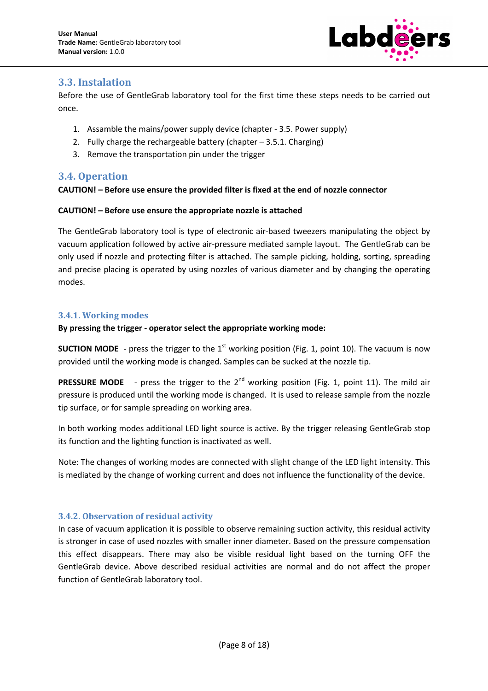

## **3.3. Instalation**

Before the use of GentleGrab laboratory tool for the first time these steps needs to be carried out once.

- 1. Assamble the mains/power supply device (chapter 3.5. Power supply)
- 2. Fully charge the rechargeable battery (chapter 3.5.1. Charging)
- 3. Remove the transportation pin under the trigger

## **3.4. Operation**

#### **CAUTION! – Before use ensure the provided filter is fixed at the end of nozzle connector**

#### **CAUTION! – Before use ensure the appropriate nozzle is attached**

The GentleGrab laboratory tool is type of electronic air-based tweezers manipulating the object by vacuum application followed by active air-pressure mediated sample layout. The GentleGrab can be only used if nozzle and protecting filter is attached. The sample picking, holding, sorting, spreading and precise placing is operated by using nozzles of various diameter and by changing the operating modes.

#### **3.4.1. Working modes**

#### **By pressing the trigger - operator select the appropriate working mode:**

**SUCTION MODE** - press the trigger to the  $1<sup>st</sup>$  working position (Fig. 1, point 10). The vacuum is now provided until the working mode is changed. Samples can be sucked at the nozzle tip.

**PRESSURE MODE** - press the trigger to the 2<sup>nd</sup> working position (Fig. 1, point 11). The mild air pressure is produced until the working mode is changed. It is used to release sample from the nozzle tip surface, or for sample spreading on working area.

In both working modes additional LED light source is active. By the trigger releasing GentleGrab stop its function and the lighting function is inactivated as well.

Note: The changes of working modes are connected with slight change of the LED light intensity. This is mediated by the change of working current and does not influence the functionality of the device.

#### **3.4.2. Observation of residual activity**

In case of vacuum application it is possible to observe remaining suction activity, this residual activity is stronger in case of used nozzles with smaller inner diameter. Based on the pressure compensation this effect disappears. There may also be visible residual light based on the turning OFF the GentleGrab device. Above described residual activities are normal and do not affect the proper function of GentleGrab laboratory tool.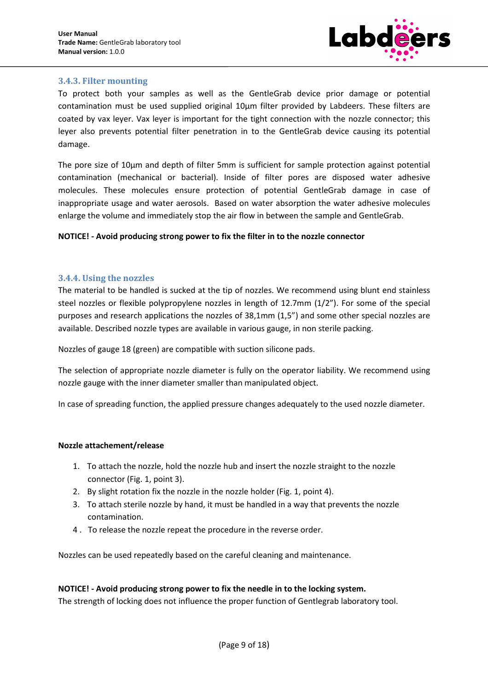

#### **3.4.3. Filter mounting**

To protect both your samples as well as the GentleGrab device prior damage or potential contamination must be used supplied original 10µm filter provided by Labdeers. These filters are coated by vax leyer. Vax leyer is important for the tight connection with the nozzle connector; this leyer also prevents potential filter penetration in to the GentleGrab device causing its potential damage.

The pore size of 10µm and depth of filter 5mm is sufficient for sample protection against potential contamination (mechanical or bacterial). Inside of filter pores are disposed water adhesive molecules. These molecules ensure protection of potential GentleGrab damage in case of inappropriate usage and water aerosols. Based on water absorption the water adhesive molecules enlarge the volume and immediately stop the air flow in between the sample and GentleGrab.

#### **NOTICE! - Avoid producing strong power to fix the filter in to the nozzle connector**

#### **3.4.4. Using the nozzles**

The material to be handled is sucked at the tip of nozzles. We recommend using blunt end stainless steel nozzles or flexible polypropylene nozzles in length of 12.7mm (1/2"). For some of the special purposes and research applications the nozzles of 38,1mm (1,5") and some other special nozzles are available. Described nozzle types are available in various gauge, in non sterile packing.

Nozzles of gauge 18 (green) are compatible with suction silicone pads.

The selection of appropriate nozzle diameter is fully on the operator liability. We recommend using nozzle gauge with the inner diameter smaller than manipulated object.

In case of spreading function, the applied pressure changes adequately to the used nozzle diameter.

#### **Nozzle attachement/release**

- 1. To attach the nozzle, hold the nozzle hub and insert the nozzle straight to the nozzle connector (Fig. 1, point 3).
- 2. By slight rotation fix the nozzle in the nozzle holder (Fig. 1, point 4).
- 3. To attach sterile nozzle by hand, it must be handled in a way that prevents the nozzle contamination.
- 4 . To release the nozzle repeat the procedure in the reverse order.

Nozzles can be used repeatedly based on the careful cleaning and maintenance.

#### **NOTICE! - Avoid producing strong power to fix the needle in to the locking system.**

The strength of locking does not influence the proper function of Gentlegrab laboratory tool.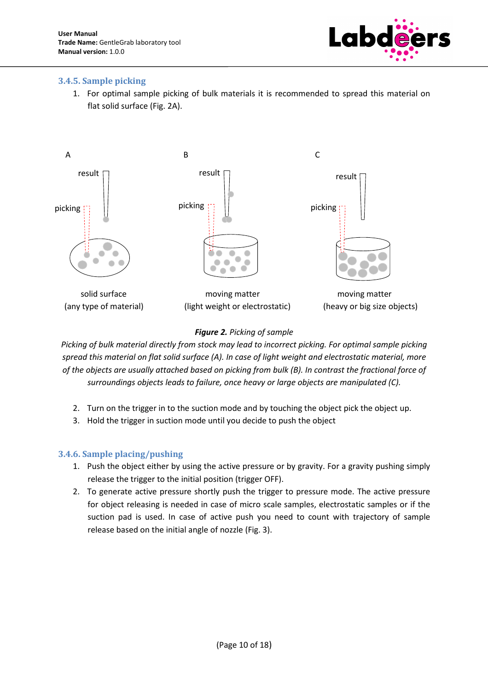

#### **3.4.5. Sample picking**

1. For optimal sample picking of bulk materials it is recommended to spread this material on flat solid surface (Fig. 2A).



#### *Figure 2. Picking of sample*

*Picking of bulk material directly from stock may lead to incorrect picking. For optimal sample picking spread this material on flat solid surface (A). In case of light weight and electrostatic material, more of the objects are usually attached based on picking from bulk (B). In contrast the fractional force of surroundings objects leads to failure, once heavy or large objects are manipulated (C).* 

- 2. Turn on the trigger in to the suction mode and by touching the object pick the object up.
- 3. Hold the trigger in suction mode until you decide to push the object

#### **3.4.6. Sample placing/pushing**

- 1. Push the object either by using the active pressure or by gravity. For a gravity pushing simply release the trigger to the initial position (trigger OFF).
- 2. To generate active pressure shortly push the trigger to pressure mode. The active pressure for object releasing is needed in case of micro scale samples, electrostatic samples or if the suction pad is used. In case of active push you need to count with trajectory of sample release based on the initial angle of nozzle (Fig. 3).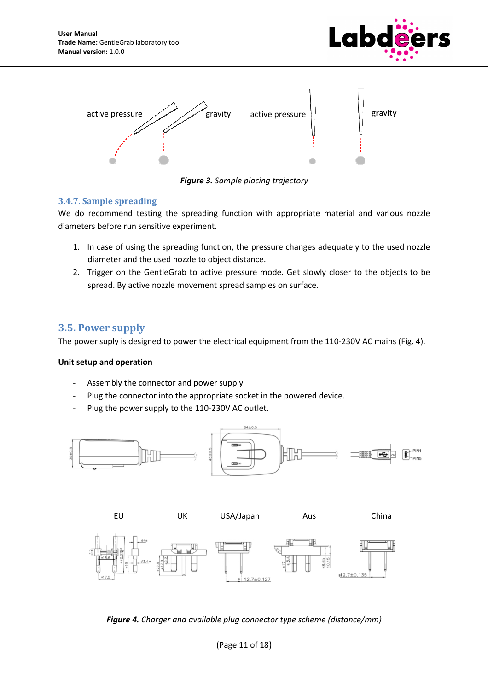



*Figure 3. Sample placing trajectory* 

#### **3.4.7. Sample spreading**

We do recommend testing the spreading function with appropriate material and various nozzle diameters before run sensitive experiment.

- 1. In case of using the spreading function, the pressure changes adequately to the used nozzle diameter and the used nozzle to object distance.
- 2. Trigger on the GentleGrab to active pressure mode. Get slowly closer to the objects to be spread. By active nozzle movement spread samples on surface.

## **3.5. Power supply**

The power suply is designed to power the electrical equipment from the 110-230V AC mains (Fig. 4).

#### **Unit setup and operation**

- Assembly the connector and power supply
- Plug the connector into the appropriate socket in the powered device.
- Plug the power supply to the 110-230V AC outlet.



*Figure 4. Charger and available plug connector type scheme (distance/mm)*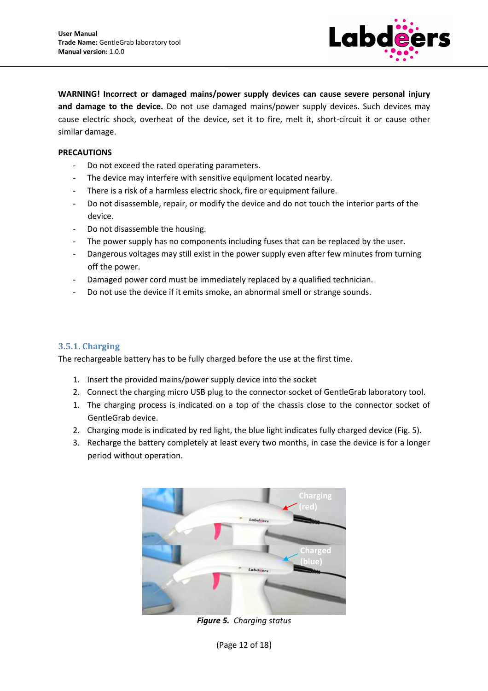

**WARNING! Incorrect or damaged mains/power supply devices can cause severe personal injury and damage to the device.** Do not use damaged mains/power supply devices. Such devices may cause electric shock, overheat of the device, set it to fire, melt it, short-circuit it or cause other similar damage.

#### **PRECAUTIONS**

- Do not exceed the rated operating parameters.
- The device may interfere with sensitive equipment located nearby.
- There is a risk of a harmless electric shock, fire or equipment failure.
- Do not disassemble, repair, or modify the device and do not touch the interior parts of the device.
- Do not disassemble the housing.
- The power supply has no components including fuses that can be replaced by the user.
- Dangerous voltages may still exist in the power supply even after few minutes from turning off the power.
- Damaged power cord must be immediately replaced by a qualified technician.
- Do not use the device if it emits smoke, an abnormal smell or strange sounds.

#### **3.5.1. Charging**

The rechargeable battery has to be fully charged before the use at the first time.

- 1. Insert the provided mains/power supply device into the socket
- 2. Connect the charging micro USB plug to the connector socket of GentleGrab laboratory tool.
- 1. The charging process is indicated on a top of the chassis close to the connector socket of GentleGrab device.
- 2. Charging mode is indicated by red light, the blue light indicates fully charged device (Fig. 5).
- 3. Recharge the battery completely at least every two months, in case the device is for a longer period without operation.



*Figure 5. Charging status*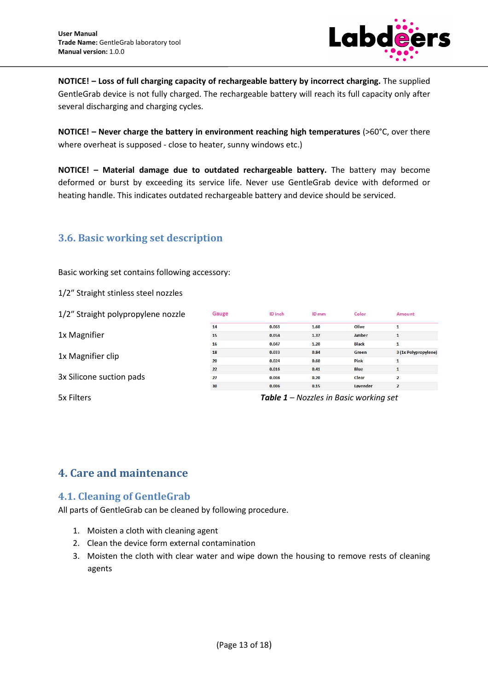

**NOTICE! – Loss of full charging capacity of rechargeable battery by incorrect charging.** The supplied GentleGrab device is not fully charged. The rechargeable battery will reach its full capacity only after several discharging and charging cycles.

**NOTICE! – Never charge the battery in environment reaching high temperatures** (>60°C, over there where overheat is supposed - close to heater, sunny windows etc.)

**NOTICE! – Material damage due to outdated rechargeable battery.** The battery may become deformed or burst by exceeding its service life. Never use GentleGrab device with deformed or heating handle. This indicates outdated rechargeable battery and device should be serviced.

## **3.6. Basic working set description**

Basic working set contains following accessory:

1/2″ Straight stinless steel nozzles

| 1/2" Straight polypropylene nozzle | Gauge | ID inch | ID mm | Color                                         | Amount               |
|------------------------------------|-------|---------|-------|-----------------------------------------------|----------------------|
|                                    | 14    | 0.063   | 1.60  | Olive                                         |                      |
| 1x Magnifier                       | 15    | 0.054   | 1.37  | Amber                                         | $\mathbf{1}$         |
|                                    | 16    | 0.047   | 1.20  | <b>Black</b>                                  | $\mathbf{1}$         |
| 1x Magnifier clip                  | 18    | 0.033   | 0.84  | Green                                         | 3 (1x Polypropylene) |
|                                    | 20    | 0.024   | 0.60  | Pink                                          | $\mathbf{1}$         |
|                                    | 22    | 0.016   | 0.41  | <b>Blue</b>                                   | $\mathbf{1}$         |
| 3x Silicone suction pads           | 27    | 0.008   | 0.20  | Clear                                         | $\overline{2}$       |
|                                    | 30    | 0.006   | 0.15  | Lavender                                      | $\overline{2}$       |
| 5x Filters                         |       |         |       | <b>Table 1 –</b> Nozzles in Basic working set |                      |

## **4. Care and maintenance**

## **4.1. Cleaning of GentleGrab**

All parts of GentleGrab can be cleaned by following procedure.

- 1. Moisten a cloth with cleaning agent
- 2. Clean the device form external contamination
- 3. Moisten the cloth with clear water and wipe down the housing to remove rests of cleaning agents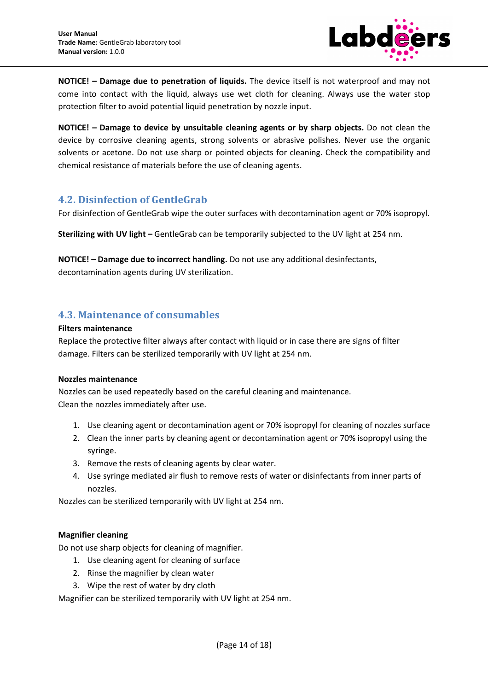

**NOTICE! – Damage due to penetration of liquids.** The device itself is not waterproof and may not come into contact with the liquid, always use wet cloth for cleaning. Always use the water stop protection filter to avoid potential liquid penetration by nozzle input.

**NOTICE! – Damage to device by unsuitable cleaning agents or by sharp objects.** Do not clean the device by corrosive cleaning agents, strong solvents or abrasive polishes. Never use the organic solvents or acetone. Do not use sharp or pointed objects for cleaning. Check the compatibility and chemical resistance of materials before the use of cleaning agents.

#### **4.2. Disinfection of GentleGrab**

For disinfection of GentleGrab wipe the outer surfaces with decontamination agent or 70% isopropyl.

**Sterilizing with UV light –** GentleGrab can be temporarily subjected to the UV light at 254 nm.

**NOTICE! – Damage due to incorrect handling.** Do not use any additional desinfectants, decontamination agents during UV sterilization.

#### **4.3. Maintenance of consumables**

#### **Filters maintenance**

Replace the protective filter always after contact with liquid or in case there are signs of filter damage. Filters can be sterilized temporarily with UV light at 254 nm.

#### **Nozzles maintenance**

Nozzles can be used repeatedly based on the careful cleaning and maintenance. Clean the nozzles immediately after use.

- 1. Use cleaning agent or decontamination agent or 70% isopropyl for cleaning of nozzles surface
- 2. Clean the inner parts by cleaning agent or decontamination agent or 70% isopropyl using the syringe.
- 3. Remove the rests of cleaning agents by clear water.
- 4. Use syringe mediated air flush to remove rests of water or disinfectants from inner parts of nozzles.

Nozzles can be sterilized temporarily with UV light at 254 nm.

#### **Magnifier cleaning**

Do not use sharp objects for cleaning of magnifier.

- 1. Use cleaning agent for cleaning of surface
- 2. Rinse the magnifier by clean water
- 3. Wipe the rest of water by dry cloth

Magnifier can be sterilized temporarily with UV light at 254 nm.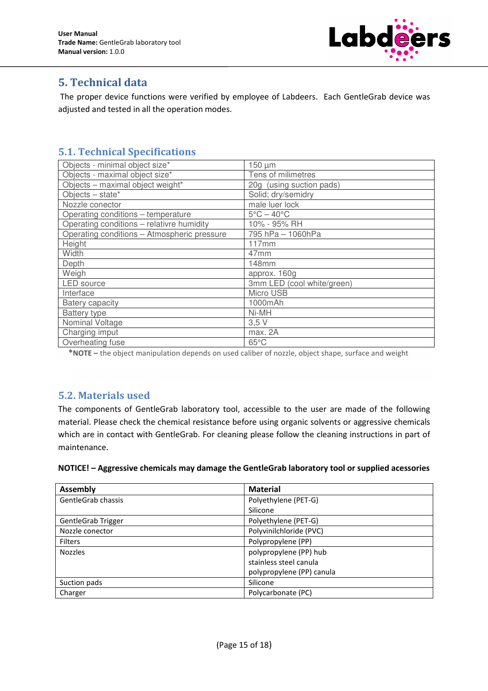

## **5. Technical data**

 The proper device functions were verified by employee of Labdeers. Each GentleGrab device was adjusted and tested in all the operation modes.

## **5.1. Technical Specifications**

| Objects - minimal object size*              | 150 µm                          |
|---------------------------------------------|---------------------------------|
| Objects - maximal object size*              | Tens of milimetres              |
| Objects - maximal object weight*            | 20g (using suction pads)        |
| Objects $-$ state*                          | Solid; dry/semidry              |
| Nozzle conector                             | male luer lock                  |
| Operating conditions - temperature          | $5^{\circ}$ C – 40 $^{\circ}$ C |
| Operating conditions - relativre humidity   | 10% - 95% RH                    |
| Operating conditions - Atmospheric pressure | 795 hPa - 1060hPa               |
| Height                                      | 117mm                           |
| Width                                       | 47 <sub>mm</sub>                |
| Depth                                       | <b>148mm</b>                    |
| Weigh                                       | approx. 160g                    |
| <b>LED</b> source                           | 3mm LED (cool white/green)      |
| Interface                                   | Micro USB                       |
| Batery capacity                             | 1000mAh                         |
| <b>Battery type</b>                         | Ni-MH                           |
| Nominal Voltage                             | 3,5V                            |
| Charging imput                              | max. 2A                         |
| Overheating fuse                            | $65^{\circ}$ C                  |

 **\*NOTE –** the object manipulation depends on used caliber of nozzle, object shape, surface and weight

## **5.2. Materials used**

The components of GentleGrab laboratory tool, accessible to the user are made of the following material. Please check the chemical resistance before using organic solvents or aggressive chemicals which are in contact with GentleGrab. For cleaning please follow the cleaning instructions in part of maintenance.

|  |  | NOTICE! - Aggressive chemicals may damage the GentleGrab laboratory tool or supplied acessories |
|--|--|-------------------------------------------------------------------------------------------------|
|--|--|-------------------------------------------------------------------------------------------------|

| <b>Assembly</b>           | <b>Material</b>           |
|---------------------------|---------------------------|
| GentleGrab chassis        | Polyethylene (PET-G)      |
|                           | Silicone                  |
| <b>GentleGrab Trigger</b> | Polyethylene (PET-G)      |
| Nozzle conector           | Polyvinilchloride (PVC)   |
| <b>Filters</b>            | Polypropylene (PP)        |
| <b>Nozzles</b>            | polypropylene (PP) hub    |
|                           | stainless steel canula    |
|                           | polypropylene (PP) canula |
| Suction pads              | Silicone                  |
| Charger                   | Polycarbonate (PC)        |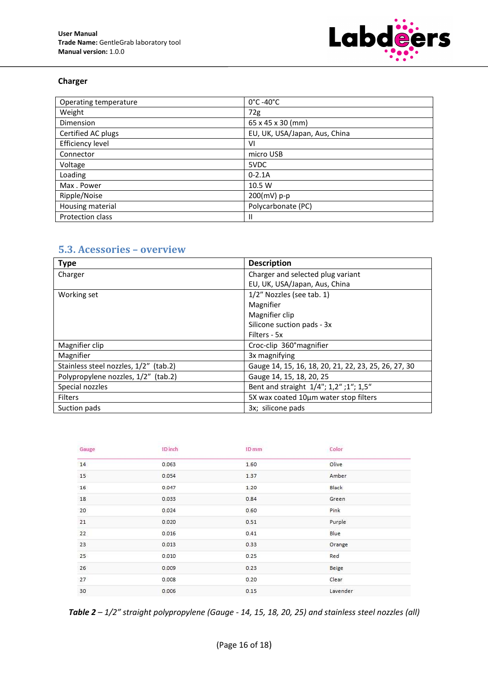

#### **Charger**

| Operating temperature | $0^{\circ}$ C -40 $^{\circ}$ C |
|-----------------------|--------------------------------|
| Weight                | 72g                            |
| Dimension             | 65 x 45 x 30 (mm)              |
| Certified AC plugs    | EU, UK, USA/Japan, Aus, China  |
| Efficiency level      | VI                             |
| Connector             | micro USB                      |
| Voltage               | 5VDC                           |
| Loading               | $0 - 2.1A$                     |
| Max. Power            | 10.5 W                         |
| Ripple/Noise          | 200(mV) p-p                    |
| Housing material      | Polycarbonate (PC)             |
| Protection class      | Ш                              |

## **5.3. Acessories – overview**

| <b>Type</b>                           | <b>Description</b>                                   |
|---------------------------------------|------------------------------------------------------|
| Charger                               | Charger and selected plug variant                    |
|                                       | EU, UK, USA/Japan, Aus, China                        |
| Working set                           | 1/2" Nozzles (see tab. 1)                            |
|                                       | Magnifier                                            |
|                                       | Magnifier clip                                       |
|                                       | Silicone suction pads - 3x                           |
|                                       | Filters - 5x                                         |
| Magnifier clip                        | Croc-clip 360° magnifier                             |
| Magnifier                             | 3x magnifying                                        |
| Stainless steel nozzles, 1/2" (tab.2) | Gauge 14, 15, 16, 18, 20, 21, 22, 23, 25, 26, 27, 30 |
| Polypropylene nozzles, 1/2" (tab.2)   | Gauge 14, 15, 18, 20, 25                             |
| Special nozzles                       | Bent and straight 1/4"; 1,2"; 1"; 1,5"               |
| <b>Filters</b>                        | 5X wax coated 10µm water stop filters                |
| Suction pads                          | 3x; silicone pads                                    |

| Gauge                          | ID inch | <b>SAN AND A TOWN</b><br>ID mm | Color    |
|--------------------------------|---------|--------------------------------|----------|
| <b>Contract Contract</b><br>14 | 0.063   | 1.60                           | Olive    |
| 15 <sup>°</sup>                | 0.054   | 1.37                           | Amber    |
| 16                             | 0.047   | 1.20                           | Black    |
| 18                             | 0.033   | 0.84                           | Green    |
| 20                             | 0.024   | 0.60                           | Pink     |
| 21                             | 0.020   | 0.51                           | Purple   |
| 22                             | 0.016   | 0.41                           | Blue     |
| 23                             | 0.013   | 0.33                           | Orange   |
| 25                             | 0.010   | 0.25                           | Red      |
| 26                             | 0.009   | 0.23                           | Beige    |
| 27                             | 0.008   | 0.20                           | Clear    |
| 30                             | 0.006   | 0.15                           | Lavender |

*Table 2 – 1/2″ straight polypropylene (Gauge - 14, 15, 18, 20, 25) and stainless steel nozzles (all)*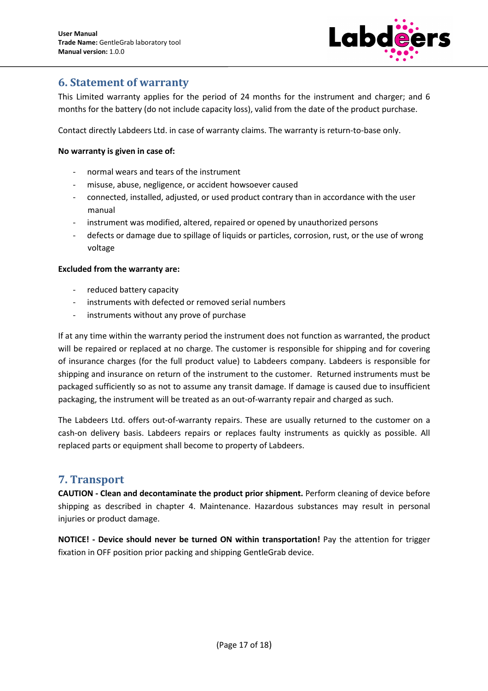

## **6. Statement of warranty**

This Limited warranty applies for the period of 24 months for the instrument and charger; and 6 months for the battery (do not include capacity loss), valid from the date of the product purchase.

Contact directly Labdeers Ltd. in case of warranty claims. The warranty is return-to-base only.

#### **No warranty is given in case of:**

- normal wears and tears of the instrument
- misuse, abuse, negligence, or accident howsoever caused
- connected, installed, adjusted, or used product contrary than in accordance with the user manual
- instrument was modified, altered, repaired or opened by unauthorized persons
- defects or damage due to spillage of liquids or particles, corrosion, rust, or the use of wrong voltage

#### **Excluded from the warranty are:**

- reduced battery capacity
- instruments with defected or removed serial numbers
- instruments without any prove of purchase

If at any time within the warranty period the instrument does not function as warranted, the product will be repaired or replaced at no charge. The customer is responsible for shipping and for covering of insurance charges (for the full product value) to Labdeers company. Labdeers is responsible for shipping and insurance on return of the instrument to the customer. Returned instruments must be packaged sufficiently so as not to assume any transit damage. If damage is caused due to insufficient packaging, the instrument will be treated as an out-of-warranty repair and charged as such.

The Labdeers Ltd. offers out-of-warranty repairs. These are usually returned to the customer on a cash-on delivery basis. Labdeers repairs or replaces faulty instruments as quickly as possible. All replaced parts or equipment shall become to property of Labdeers.

## **7. Transport**

**CAUTION - Clean and decontaminate the product prior shipment.** Perform cleaning of device before shipping as described in chapter 4. Maintenance. Hazardous substances may result in personal injuries or product damage.

**NOTICE! - Device should never be turned ON within transportation!** Pay the attention for trigger fixation in OFF position prior packing and shipping GentleGrab device.